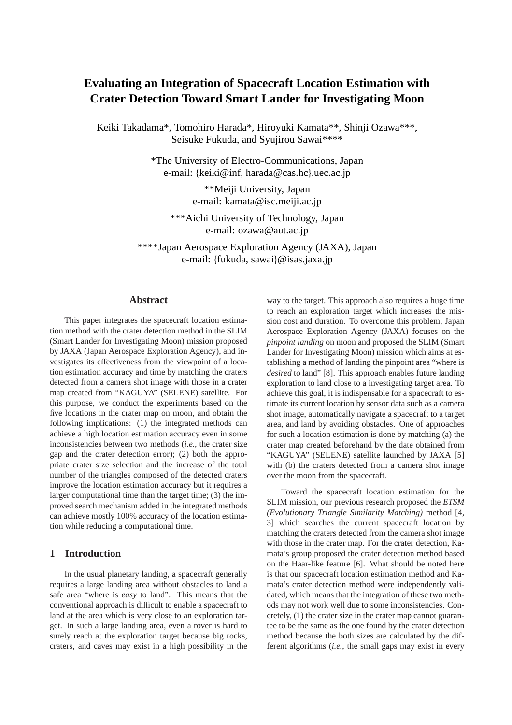# **Evaluating an Integration of Spacecraft Location Estimation with Crater Detection Toward Smart Lander for Investigating Moon**

Keiki Takadama\*, Tomohiro Harada\*, Hiroyuki Kamata\*\*, Shinji Ozawa\*\*\*, Seisuke Fukuda, and Syujirou Sawai\*\*\*\*

> \*The University of Electro-Communications, Japan e-mail: {keiki@inf, harada@cas.hc}.uec.ac.jp

> > \*\*Meiji University, Japan e-mail: kamata@isc.meiji.ac.jp

\*\*\*Aichi University of Technology, Japan e-mail: ozawa@aut.ac.jp

\*\*\*\*Japan Aerospace Exploration Agency (JAXA), Japan e-mail: {fukuda, sawai}@isas.jaxa.jp

## **Abstract**

This paper integrates the spacecraft location estimation method with the crater detection method in the SLIM (Smart Lander for Investigating Moon) mission proposed by JAXA (Japan Aerospace Exploration Agency), and investigates its effectiveness from the viewpoint of a location estimation accuracy and time by matching the craters detected from a camera shot image with those in a crater map created from "KAGUYA" (SELENE) satellite. For this purpose, we conduct the experiments based on the five locations in the crater map on moon, and obtain the following implications: (1) the integrated methods can achieve a high location estimation accuracy even in some inconsistencies between two methods (*i.e.,* the crater size gap and the crater detection error); (2) both the appropriate crater size selection and the increase of the total number of the triangles composed of the detected craters improve the location estimation accuracy but it requires a larger computational time than the target time; (3) the improved search mechanism added in the integrated methods can achieve mostly 100% accuracy of the location estimation while reducing a computational time.

# **1 Introduction**

In the usual planetary landing, a spacecraft generally requires a large landing area without obstacles to land a safe area "where is *easy* to land". This means that the conventional approach is difficult to enable a spacecraft to land at the area which is very close to an exploration target. In such a large landing area, even a rover is hard to surely reach at the exploration target because big rocks, craters, and caves may exist in a high possibility in the way to the target. This approach also requires a huge time to reach an exploration target which increases the mission cost and duration. To overcome this problem, Japan Aerospace Exploration Agency (JAXA) focuses on the *pinpoint landing* on moon and proposed the SLIM (Smart Lander for Investigating Moon) mission which aims at establishing a method of landing the pinpoint area "where is *desired* to land" [8]. This approach enables future landing exploration to land close to a investigating target area. To achieve this goal, it is indispensable for a spacecraft to estimate its current location by sensor data such as a camera shot image, automatically navigate a spacecraft to a target area, and land by avoiding obstacles. One of approaches for such a location estimation is done by matching (a) the crater map created beforehand by the date obtained from "KAGUYA" (SELENE) satellite launched by JAXA [5] with (b) the craters detected from a camera shot image over the moon from the spacecraft.

Toward the spacecraft location estimation for the SLIM mission, our previous research proposed the *ETSM (Evolutionary Triangle Similarity Matching)* method [4, 3] which searches the current spacecraft location by matching the craters detected from the camera shot image with those in the crater map. For the crater detection, Kamata's group proposed the crater detection method based on the Haar-like feature [6]. What should be noted here is that our spacecraft location estimation method and Kamata's crater detection method were independently validated, which means that the integration of these two methods may not work well due to some inconsistencies. Concretely, (1) the crater size in the crater map cannot guarantee to be the same as the one found by the crater detection method because the both sizes are calculated by the different algorithms (*i.e.*, the small gaps may exist in every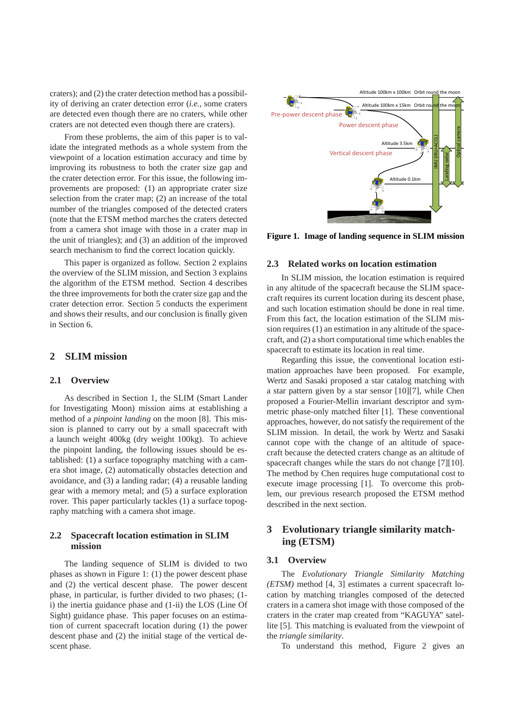craters); and (2) the crater detection method has a possibility of deriving an crater detection error (*i.e.*, some craters are detected even though there are no craters, while other craters are not detected even though there are craters).

From these problems, the aim of this paper is to validate the integrated methods as a whole system from the viewpoint of a location estimation accuracy and time by improving its robustness to both the crater size gap and the crater detection error. For this issue, the following improvements are proposed: (1) an appropriate crater size selection from the crater map; (2) an increase of the total number of the triangles composed of the detected craters (note that the ETSM method marches the craters detected from a camera shot image with those in a crater map in the unit of triangles); and (3) an addition of the improved search mechanism to find the correct location quickly.

This paper is organized as follow. Section 2 explains the overview of the SLIM mission, and Section 3 explains the algorithm of the ETSM method. Section 4 describes the three improvements for both the crater size gap and the crater detection error. Section 5 conducts the experiment and shows their results, and our conclusion is finally given in Section 6.

#### **2 SLIM mission**

#### **2.1 Overview**

As described in Section 1, the SLIM (Smart Lander for Investigating Moon) mission aims at establishing a method of a *pinpoint landing* on the moon [8]. This mission is planned to carry out by a small spacecraft with a launch weight 400kg (dry weight 100kg). To achieve the pinpoint landing, the following issues should be established: (1) a surface topography matching with a camera shot image, (2) automatically obstacles detection and avoidance, and (3) a landing radar; (4) a reusable landing gear with a memory metal; and (5) a surface exploration rover. This paper particularly tackles (1) a surface topography matching with a camera shot image.

## **2.2 Spacecraft location estimation in SLIM mission**

The landing sequence of SLIM is divided to two phases as shown in Figure 1: (1) the power descent phase and (2) the vertical descent phase. The power descent phase, in particular, is further divided to two phases; (1 i) the inertia guidance phase and (1-ii) the LOS (Line Of Sight) guidance phase. This paper focuses on an estimation of current spacecraft location during (1) the power descent phase and (2) the initial stage of the vertical descent phase.



**Figure 1. Image of landing sequence in SLIM mission**

#### **2.3 Related works on location estimation**

In SLIM mission, the location estimation is required in any altitude of the spacecraft because the SLIM spacecraft requires its current location during its descent phase, and such location estimation should be done in real time. From this fact, the location estimation of the SLIM mission requires (1) an estimation in any altitude of the spacecraft, and (2) a short computational time which enables the spacecraft to estimate its location in real time.

Regarding this issue, the conventional location estimation approaches have been proposed. For example, Wertz and Sasaki proposed a star catalog matching with a star pattern given by a star sensor [10][7], while Chen proposed a Fourier-Mellin invariant descriptor and symmetric phase-only matched filter [1]. These conventional approaches, however, do not satisfy the requirement of the SLIM mission. In detail, the work by Wertz and Sasaki cannot cope with the change of an altitude of spacecraft because the detected craters change as an altitude of spacecraft changes while the stars do not change [7][10]. The method by Chen requires huge computational cost to execute image processing [1]. To overcome this problem, our previous research proposed the ETSM method described in the next section.

# **3 Evolutionary triangle similarity matching (ETSM)**

#### **3.1 Overview**

The *Evolutionary Triangle Similarity Matching (ETSM)* method [4, 3] estimates a current spacecraft location by matching triangles composed of the detected craters in a camera shot image with those composed of the craters in the crater map created from "KAGUYA" satellite [5]. This matching is evaluated from the viewpoint of the *triangle similarity*.

To understand this method, Figure 2 gives an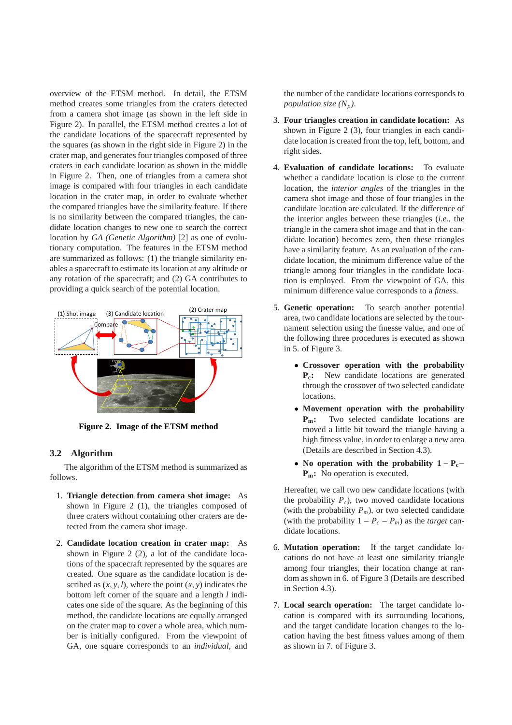overview of the ETSM method. In detail, the ETSM method creates some triangles from the craters detected from a camera shot image (as shown in the left side in Figure 2). In parallel, the ETSM method creates a lot of the candidate locations of the spacecraft represented by the squares (as shown in the right side in Figure 2) in the crater map, and generates four triangles composed of three craters in each candidate location as shown in the middle in Figure 2. Then, one of triangles from a camera shot image is compared with four triangles in each candidate location in the crater map, in order to evaluate whether the compared triangles have the similarity feature. If there is no similarity between the compared triangles, the candidate location changes to new one to search the correct location by *GA (Genetic Algorithm)* [2] as one of evolutionary computation. The features in the ETSM method are summarized as follows: (1) the triangle similarity enables a spacecraft to estimate its location at any altitude or any rotation of the spacecraft; and (2) GA contributes to providing a quick search of the potential location.



**Figure 2. Image of the ETSM method**

## **3.2 Algorithm**

The algorithm of the ETSM method is summarized as follows.

- 1. **Triangle detection from camera shot image:** As shown in Figure 2 (1), the triangles composed of three craters without containing other craters are detected from the camera shot image.
- 2. **Candidate location creation in crater map:** As shown in Figure 2 (2), a lot of the candidate locations of the spacecraft represented by the squares are created. One square as the candidate location is described as  $(x, y, l)$ , where the point  $(x, y)$  indicates the bottom left corner of the square and a length *l* indicates one side of the square. As the beginning of this method, the candidate locations are equally arranged on the crater map to cover a whole area, which number is initially configured. From the viewpoint of GA, one square corresponds to an *individual*, and

the number of the candidate locations corresponds to *population size*  $(N_p)$ .

- 3. **Four triangles creation in candidate location:** As shown in Figure 2 (3), four triangles in each candidate location is created from the top, left, bottom, and right sides.
- 4. **Evaluation of candidate locations:** To evaluate whether a candidate location is close to the current location, the *interior angles* of the triangles in the camera shot image and those of four triangles in the candidate location are calculated. If the difference of the interior angles between these triangles (*i.e.*, the triangle in the camera shot image and that in the candidate location) becomes zero, then these triangles have a similarity feature. As an evaluation of the candidate location, the minimum difference value of the triangle among four triangles in the candidate location is employed. From the viewpoint of GA, this minimum difference value corresponds to a *fitness*.
- 5. **Genetic operation:** To search another potential area, two candidate locations are selected by the tournament selection using the finesse value, and one of the following three procedures is executed as shown in 5. of Figure 3.
	- **Crossover operation with the probability Pc:** New candidate locations are generated through the crossover of two selected candidate locations.
	- **Movement operation with the probability Pm:** Two selected candidate locations are moved a little bit toward the triangle having a high fitness value, in order to enlarge a new area (Details are described in Section 4.3).
	- **No operation with the probability 1** − **Pc**− **Pm:** No operation is executed.

Hereafter, we call two new candidate locations (with the probability  $P_c$ ), two moved candidate locations (with the probability  $P_m$ ), or two selected candidate (with the probability  $1 - P_c - P_m$ ) as the *target* candidate locations.

- 6. **Mutation operation:** If the target candidate locations do not have at least one similarity triangle among four triangles, their location change at random as shown in 6. of Figure 3 (Details are described in Section 4.3).
- 7. **Local search operation:** The target candidate location is compared with its surrounding locations, and the target candidate location changes to the location having the best fitness values among of them as shown in 7. of Figure 3.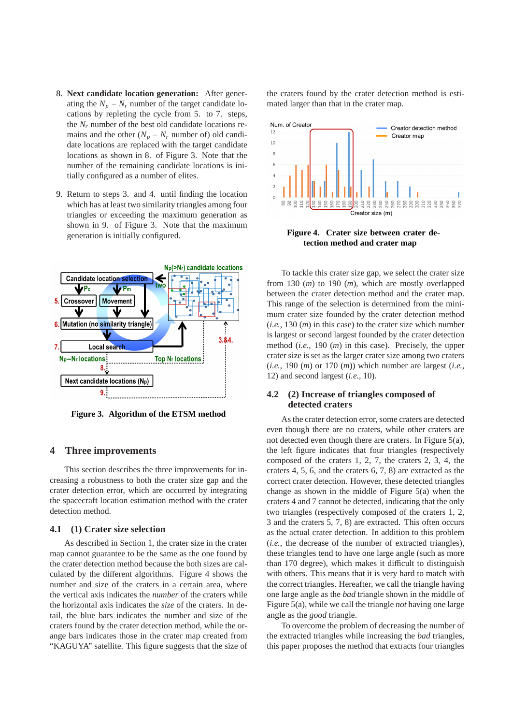- 8. **Next candidate location generation:** After generating the  $N_p - N_r$  number of the target candidate locations by repleting the cycle from 5. to 7. steps, the  $N_r$  number of the best old candidate locations remains and the other  $(N_p - N_r$  number of) old candidate locations are replaced with the target candidate locations as shown in 8. of Figure 3. Note that the number of the remaining candidate locations is initially configured as a number of elites.
- 9. Return to steps 3. and 4. until finding the location which has at least two similarity triangles among four triangles or exceeding the maximum generation as shown in 9. of Figure 3. Note that the maximum generation is initially configured.



**Figure 3. Algorithm of the ETSM method**

## **4 Three improvements**

This section describes the three improvements for increasing a robustness to both the crater size gap and the crater detection error, which are occurred by integrating the spacecraft location estimation method with the crater detection method.

#### **4.1 (1) Crater size selection**

As described in Section 1, the crater size in the crater map cannot guarantee to be the same as the one found by the crater detection method because the both sizes are calculated by the different algorithms. Figure 4 shows the number and size of the craters in a certain area, where the vertical axis indicates the *number* of the craters while the horizontal axis indicates the *size* of the craters. In detail, the blue bars indicates the number and size of the craters found by the crater detection method, while the orange bars indicates those in the crater map created from "KAGUYA" satellite. This figure suggests that the size of the craters found by the crater detection method is estimated larger than that in the crater map.



**Figure 4. Crater size between crater detection method and crater map**

To tackle this crater size gap, we select the crater size from 130 (*m*) to 190 (*m*), which are mostly overlapped between the crater detection method and the crater map. This range of the selection is determined from the minimum crater size founded by the crater detection method (*i.e.*, 130 (*m*) in this case) to the crater size which number is largest or second largest founded by the crater detection method (*i.e.*, 190 (*m*) in this case). Precisely, the upper crater size is set as the larger crater size among two craters (*i.e.*, 190 (*m*) or 170 (*m*)) which number are largest (*i.e.*, 12) and second largest (*i.e.*, 10).

## **4.2 (2) Increase of triangles composed of detected craters**

As the crater detection error, some craters are detected even though there are no craters, while other craters are not detected even though there are craters. In Figure 5(a), the left figure indicates that four triangles (respectively composed of the craters 1, 2, 7, the craters 2, 3, 4, the craters 4, 5, 6, and the craters 6, 7, 8) are extracted as the correct crater detection. However, these detected triangles change as shown in the middle of Figure 5(a) when the craters 4 and 7 cannot be detected, indicating that the only two triangles (respectively composed of the craters 1, 2, 3 and the craters 5, 7, 8) are extracted. This often occurs as the actual crater detection. In addition to this problem (*i.e.*, the decrease of the number of extracted triangles), these triangles tend to have one large angle (such as more than 170 degree), which makes it difficult to distinguish with others. This means that it is very hard to match with the correct triangles. Hereafter, we call the triangle having one large angle as the *bad* triangle shown in the middle of Figure 5(a), while we call the triangle *not* having one large angle as the *good* triangle.

To overcome the problem of decreasing the number of the extracted triangles while increasing the *bad* triangles, this paper proposes the method that extracts four triangles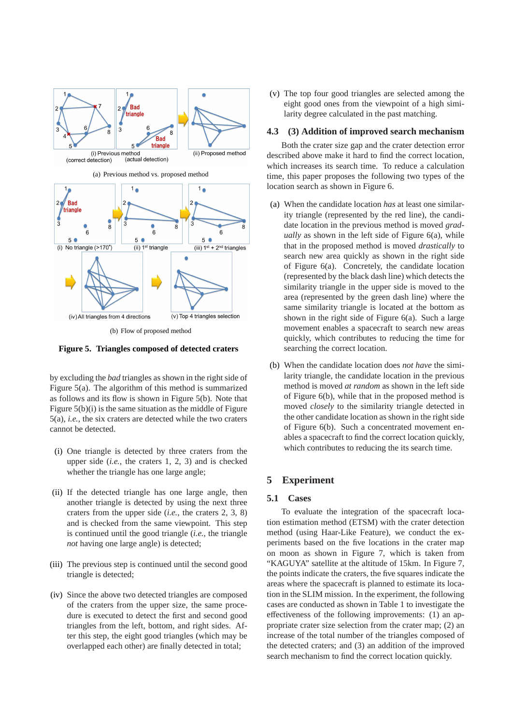

**Figure 5. Triangles composed of detected craters**

by excluding the *bad* triangles as shown in the right side of Figure 5(a). The algorithm of this method is summarized as follows and its flow is shown in Figure 5(b). Note that Figure 5(b)(i) is the same situation as the middle of Figure 5(a), *i.e.*, the six craters are detected while the two craters cannot be detected.

- (i) One triangle is detected by three craters from the upper side (*i.e.*, the craters 1, 2, 3) and is checked whether the triangle has one large angle;
- (ii) If the detected triangle has one large angle, then another triangle is detected by using the next three craters from the upper side (*i.e.*, the craters 2, 3, 8) and is checked from the same viewpoint. This step is continued until the good triangle (*i.e.*, the triangle *not* having one large angle) is detected;
- (iii) The previous step is continued until the second good triangle is detected;
- (iv) Since the above two detected triangles are composed of the craters from the upper size, the same procedure is executed to detect the first and second good triangles from the left, bottom, and right sides. After this step, the eight good triangles (which may be overlapped each other) are finally detected in total;

(v) The top four good triangles are selected among the eight good ones from the viewpoint of a high similarity degree calculated in the past matching.

#### **4.3 (3) Addition of improved search mechanism**

Both the crater size gap and the crater detection error described above make it hard to find the correct location, which increases its search time. To reduce a calculation time, this paper proposes the following two types of the location search as shown in Figure 6.

- (a) When the candidate location *has* at least one similarity triangle (represented by the red line), the candidate location in the previous method is moved *gradually* as shown in the left side of Figure 6(a), while that in the proposed method is moved *drastically* to search new area quickly as shown in the right side of Figure 6(a). Concretely, the candidate location (represented by the black dash line) which detects the similarity triangle in the upper side is moved to the area (represented by the green dash line) where the same similarity triangle is located at the bottom as shown in the right side of Figure 6(a). Such a large movement enables a spacecraft to search new areas quickly, which contributes to reducing the time for searching the correct location.
- (b) When the candidate location does *not have* the similarity triangle, the candidate location in the previous method is moved *at random* as shown in the left side of Figure 6(b), while that in the proposed method is moved *closely* to the similarity triangle detected in the other candidate location as shown in the right side of Figure 6(b). Such a concentrated movement enables a spacecraft to find the correct location quickly, which contributes to reducing the its search time.

# **5 Experiment**

#### **5.1 Cases**

To evaluate the integration of the spacecraft location estimation method (ETSM) with the crater detection method (using Haar-Like Feature), we conduct the experiments based on the five locations in the crater map on moon as shown in Figure 7, which is taken from "KAGUYA" satellite at the altitude of 15km. In Figure 7, the points indicate the craters, the five squares indicate the areas where the spacecraft is planned to estimate its location in the SLIM mission. In the experiment, the following cases are conducted as shown in Table 1 to investigate the effectiveness of the following improvements: (1) an appropriate crater size selection from the crater map; (2) an increase of the total number of the triangles composed of the detected craters; and (3) an addition of the improved search mechanism to find the correct location quickly.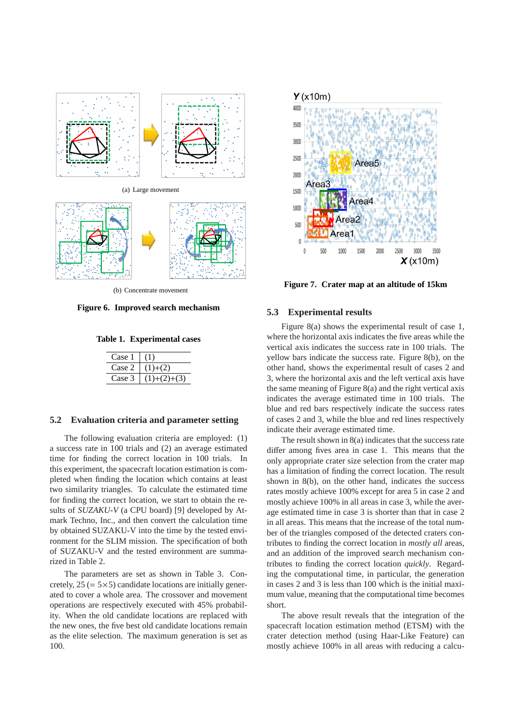

(b) Concentrate movement

**Figure 6. Improved search mechanism**

**Table 1. Experimental cases**

| Case 1 |               |
|--------|---------------|
| Case 2 | $(1)+(2)$     |
| Case 3 | $(1)+(2)+(3)$ |

# **5.2 Evaluation criteria and parameter setting**

The following evaluation criteria are employed: (1) a success rate in 100 trials and (2) an average estimated time for finding the correct location in 100 trials. In this experiment, the spacecraft location estimation is completed when finding the location which contains at least two similarity triangles. To calculate the estimated time for finding the correct location, we start to obtain the results of *SUZAKU-V* (a CPU board) [9] developed by Atmark Techno, Inc., and then convert the calculation time by obtained SUZAKU-V into the time by the tested environment for the SLIM mission. The specification of both of SUZAKU-V and the tested environment are summarized in Table 2.

The parameters are set as shown in Table 3. Concretely,  $25 (= 5 \times 5)$  candidate locations are initially generated to cover a whole area. The crossover and movement operations are respectively executed with 45% probability. When the old candidate locations are replaced with the new ones, the five best old candidate locations remain as the elite selection. The maximum generation is set as 100.



**Figure 7. Crater map at an altitude of 15km**

#### **5.3 Experimental results**

Figure 8(a) shows the experimental result of case 1, where the horizontal axis indicates the five areas while the vertical axis indicates the success rate in 100 trials. The yellow bars indicate the success rate. Figure 8(b), on the other hand, shows the experimental result of cases 2 and 3, where the horizontal axis and the left vertical axis have the same meaning of Figure 8(a) and the right vertical axis indicates the average estimated time in 100 trials. The blue and red bars respectively indicate the success rates of cases 2 and 3, while the blue and red lines respectively indicate their average estimated time.

The result shown in 8(a) indicates that the success rate differ among fives area in case 1. This means that the only appropriate crater size selection from the crater map has a limitation of finding the correct location. The result shown in 8(b), on the other hand, indicates the success rates mostly achieve 100% except for area 5 in case 2 and mostly achieve 100% in all areas in case 3, while the average estimated time in case 3 is shorter than that in case 2 in all areas. This means that the increase of the total number of the triangles composed of the detected craters contributes to finding the correct location in *mostly all* areas, and an addition of the improved search mechanism contributes to finding the correct location *quickly*. Regarding the computational time, in particular, the generation in cases 2 and 3 is less than 100 which is the initial maximum value, meaning that the computational time becomes short.

The above result reveals that the integration of the spacecraft location estimation method (ETSM) with the crater detection method (using Haar-Like Feature) can mostly achieve 100% in all areas with reducing a calcu-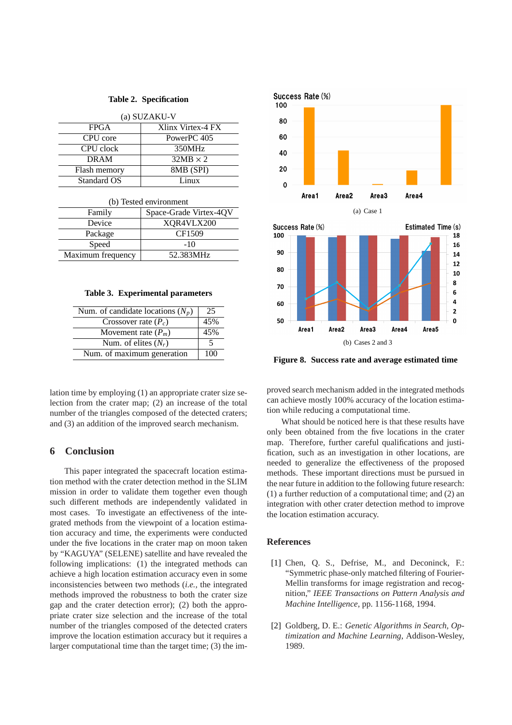| (a) SUZAKU-V |                   |  |
|--------------|-------------------|--|
| <b>FPGA</b>  | Xlinx Virtex-4 FX |  |
| CPU core     | PowerPC 405       |  |
| CPU clock    | 350MHz            |  |
| <b>DRAM</b>  | $32MB \times 2$   |  |
| Flash memory | 8MB (SPI)         |  |
| Standard OS  | Linux             |  |

| (b) Tested environment |                        |  |
|------------------------|------------------------|--|
| Family                 | Space-Grade Virtex-4QV |  |
| Device                 | XQR4VLX200             |  |
| Package                | CF1509                 |  |
| Speed                  | $-10$                  |  |
| Maximum frequency      | 52.383MHz              |  |

**Table 3. Experimental parameters**

| Num. of candidate locations $(N_p)$ | 25  |
|-------------------------------------|-----|
| Crossover rate $(P_c)$              | 45% |
| Movement rate $(P_m)$               | 45% |
| Num. of elites $(N_r)$              | 5   |
| Num. of maximum generation          | 100 |

lation time by employing (1) an appropriate crater size selection from the crater map; (2) an increase of the total number of the triangles composed of the detected craters; and (3) an addition of the improved search mechanism.

# **6 Conclusion**

This paper integrated the spacecraft location estimation method with the crater detection method in the SLIM mission in order to validate them together even though such different methods are independently validated in most cases. To investigate an effectiveness of the integrated methods from the viewpoint of a location estimation accuracy and time, the experiments were conducted under the five locations in the crater map on moon taken by "KAGUYA" (SELENE) satellite and have revealed the following implications: (1) the integrated methods can achieve a high location estimation accuracy even in some inconsistencies between two methods (*i.e.,* the integrated methods improved the robustness to both the crater size gap and the crater detection error); (2) both the appropriate crater size selection and the increase of the total number of the triangles composed of the detected craters improve the location estimation accuracy but it requires a larger computational time than the target time; (3) the im-



**Figure 8. Success rate and average estimated time**

proved search mechanism added in the integrated methods can achieve mostly 100% accuracy of the location estimation while reducing a computational time.

What should be noticed here is that these results have only been obtained from the five locations in the crater map. Therefore, further careful qualifications and justification, such as an investigation in other locations, are needed to generalize the effectiveness of the proposed methods. These important directions must be pursued in the near future in addition to the following future research: (1) a further reduction of a computational time; and (2) an integration with other crater detection method to improve the location estimation accuracy.

## **References**

- [1] Chen, O. S., Defrise, M., and Deconinck, F.: "Symmetric phase-only matched filtering of Fourier-Mellin transforms for image registration and recognition," *IEEE Transactions on Pattern Analysis and Machine Intelligence*, pp. 1156-1168, 1994.
- [2] Goldberg, D. E.: *Genetic Algorithms in Search, Optimization and Machine Learning*, Addison-Wesley, 1989.